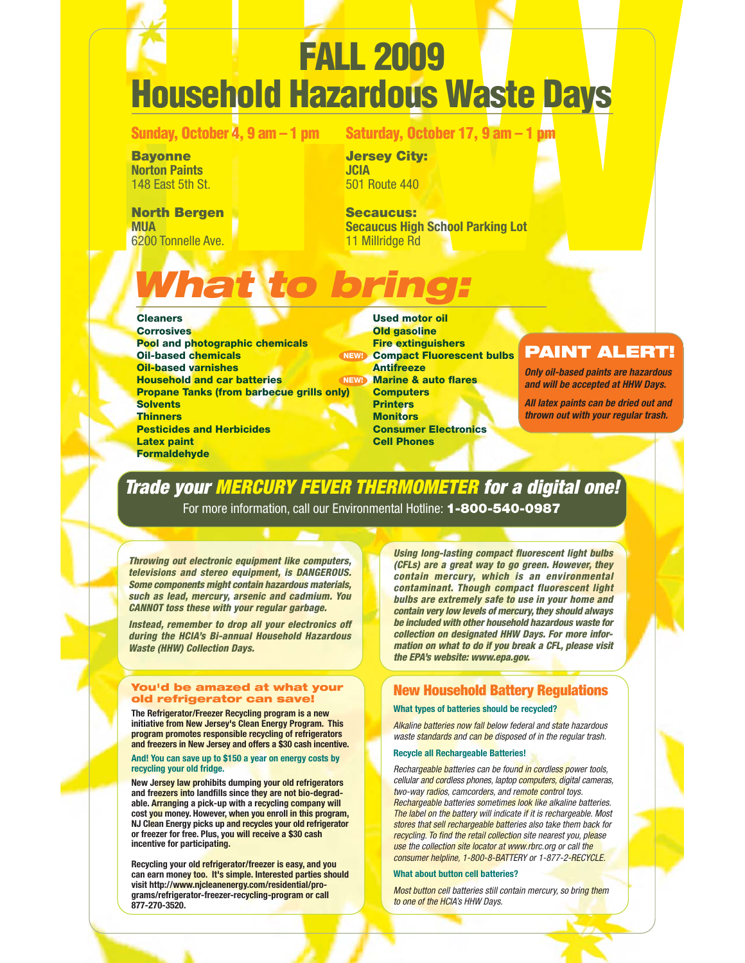# **FALL 2009 Household Hazardous Waste Days**

**Sunday, October 4, 9 am – 1 pm**

**Saturday, October 17, 9 am – 1 pm**

**Bayonne Norton Paints** 148 East 5th St.

**North Bergen MUA** 6200 Tonnelle Ave.

**Jersey City: JCIA** 501 Route 440

**Secaucus: Secaucus High School Parking Lot** 11 Millridge Rd

# *What to bring:*

## **Cleaners**

**Corrosives Pool and photographic chemicals Oil-based chemicals Oil-based varnishes Household and car batteries Propane Tanks (from barbecue grills only) Solvents Thinners Pesticides and Herbicides Latex paint Formaldehyde NEW! NEW!**

**Used motor oil Old gasoline Fire extinguishers Compact Fluorescent bulbs Antifreeze Marine & auto flares Computers Printers Monitors Consumer Electronics Cell Phones**

# **PAINT ALERT!**

*Only oil-based paints are hazardous and will be accepted at HHW Days.*

*All latex paints can be dried out and thrown out with your regular trash.*

# *Trade your MERCURY FEVER THERMOMETER for a digital one!*

For more information, call our Environmental Hotline: **1-800-540-0987**

*Throwing out electronic equipment like computers, televisions and stereo equipment, is DANGEROUS. Some components might contain hazardous materials, such as lead, mercury, arsenic and cadmium. You CANNOT toss these with your regular garbage.*

*Instead, remember to drop all your electronics off during the HCIA's Bi-annual Household Hazardous Waste (HHW) Collection Days.*

#### **You'd be amazed at what your old refrigerator can save!**

**The Refrigerator/Freezer Recycling program is a new initiative from New Jersey's Clean Energy Program. This program promotes responsible recycling of refrigerators and freezers in New Jersey and offers a \$30 cash incentive.**

#### **And! You can save up to \$150 a year on energy costs by recycling your old fridge.**

**New Jersey law prohibits dumping your old refrigerators and freezers into landfills since they are not bio-degradable. Arranging a pick-up with a recycling company will cost you money. However, when you enroll in this program, NJ Clean Energy picks up and recycles your old refrigerator or freezer for free. Plus, you will receive a \$30 cash incentive for participating.**

**Recycling your old refrigerator/freezer is easy, and you can earn money too. It's simple. Interested parties should visit http://www.njcleanenergy.com/residential/programs/refrigerator-freezer-recycling-program or call 877-270-3520.**

*Using long-lasting compact fluorescent light bulbs (CFLs) are a great way to go green. However, they contain mercury, which is an environmental contaminant. Though compact fluorescent light bulbs are extremely safe to use in your home and contain very low levels of mercury, they should always be included with other household hazardous waste for collection on designated HHW Days. For more information on what to do if you break a CFL, please visit the EPA's website: www.epa.gov.*

# **New Household Battery Regulations**

## **What types of batteries should be recycled?**

Alkaline batteries now fall below federal and state hazardous waste standards and can be disposed of in the regular trash.

## **Recycle all Rechargeable Batteries!**

Rechargeable batteries can be found in cordless power tools, cellular and cordless phones, laptop computers, digital cameras, two-way radios, camcorders, and remote control toys. Rechargeable batteries sometimes look like alkaline batteries. The label on the battery will indicate if it is rechargeable. Most stores that sell rechargeable batteries also take them back for recycling. To find the retail collection site nearest you, please use the collection site locator at www.rbrc.org or call the consumer helpline, 1-800-8-BATTERY or 1-877-2-RECYCLE.

## **What about button cell batteries?**

Most button cell batteries still contain mercury, so bring them to one of the HCIA's HHW Days.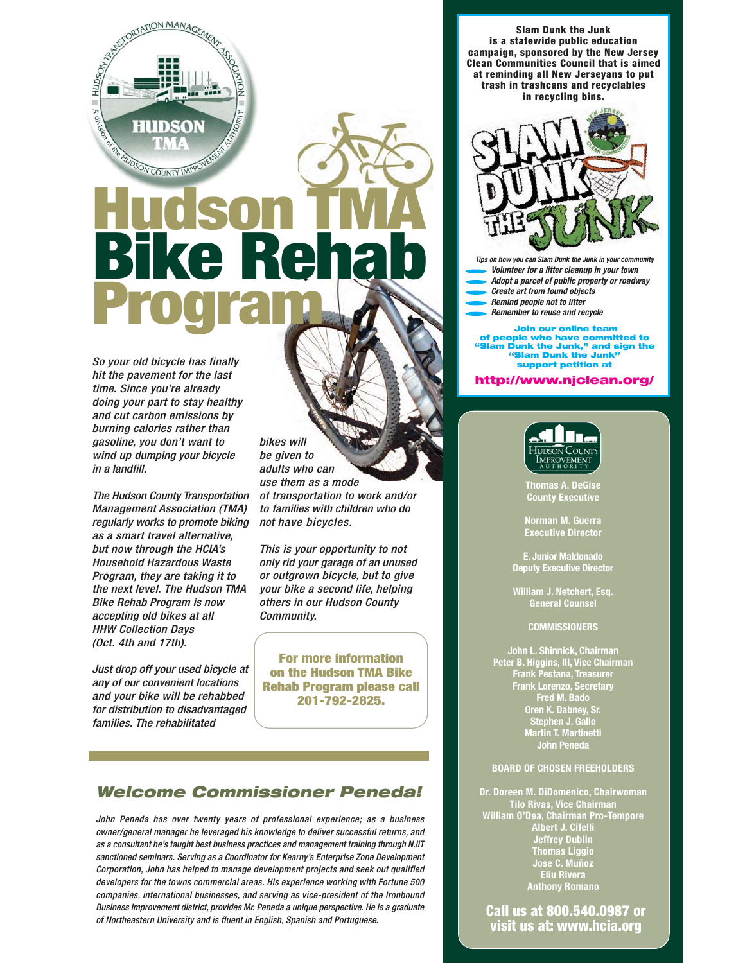

# **Hudson TMA Bike Rehab Program**

So your old bicycle has finally hit the pavement for the last time. Since you're already doing your part to stay healthy and cut carbon emissions by burning calories rather than gasoline, you don't want to wind up dumping your bicycle in a landfill.

The Hudson County Transportation Management Association (TMA) regularly works to promote biking as a smart travel alternative, but now through the HCIA's Household Hazardous Waste Program, they are taking it to the next level. The Hudson TMA Bike Rehab Program is now accepting old bikes at all HHW Collection Days (Oct. 4th and 17th).

Just drop off your used bicycle at any of our convenient locations and your bike will be rehabbed for distribution to disadvantaged families. The rehabilitated

bikes will be given to adults who can use them as a mode of transportation to work and/or to families with children who do not have bicycles.

This is your opportunity to not only rid your garage of an unused or outgrown bicycle, but to give your bike a second life, helping others in our Hudson County Community.

**For more information on the Hudson TMA Bike Rehab Program please call 201-792-2825.**

# *Welcome Commissioner Peneda!*

John Peneda has over twenty years of professional experience; as a business owner/general manager he leveraged his knowledge to deliver successful returns, and as a consultant he's taught best business practices and management training through NJIT sanctioned seminars. Serving as a Coordinator for Kearny's Enterprise Zone Development Corporation, John has helped to manage development projects and seek out qualified developers for the towns commercial areas. His experience working with Fortune 500 companies, international businesses, and serving as vice-president of the Ironbound Business Improvement district, provides Mr. Peneda a unique perspective. He is a graduate of Northeastern University and is fluent in English, Spanish and Portuguese.

**Slam Dunk the Junk is a statewide public education campaign, sponsored by the New Jersey Clean Communities Council that is aimed at reminding all New Jerseyans to put trash in trashcans and recyclables in recycling bins.**



*Tips on how you can Slam Dunk the Junk in your community*

- *Volunteer for a litter cleanup in your town Adopt a parcel of public property or roadway*
- *Create art from found objects*
- *Remind people not to litter*
- *Remember to reuse and recycle*

**Join our online team of people who have committed to am Dunk the Junk," and sign the "Slam Dunk the Junk" support petition at**

#### **http://www.njclean.org/**



**Thomas A. DeGise County Executive**

**Norman M. Guerra Executive Director**

**E. Junior Maldonado Deputy Executive Director**

**William J. Netchert, Esq. General Counsel**

#### **COMMISSIONERS**

**John L. Shinnick, Chairman Peter B. Higgins, III, Vice Chairman Frank Pestana, Treasurer Frank Lorenzo, Secretary Fred M. Bado Oren K. Dabney, Sr. Stephen J. Gallo Martin T. Martinetti John Peneda**

### **BOARD OF CHOSEN FREEHOLDERS**

**Dr. Doreen M. DiDomenico, Chairwoman Tilo Rivas, Vice Chairman William O'Dea, Chairman Pro-Tempore Albert J. Cifelli Jeffrey Dublin Thomas Liggio Jose C. Muñoz Eliu Rivera Anthony Romano**

Call us at 800.540.0987 or visit us at: www.hcia.org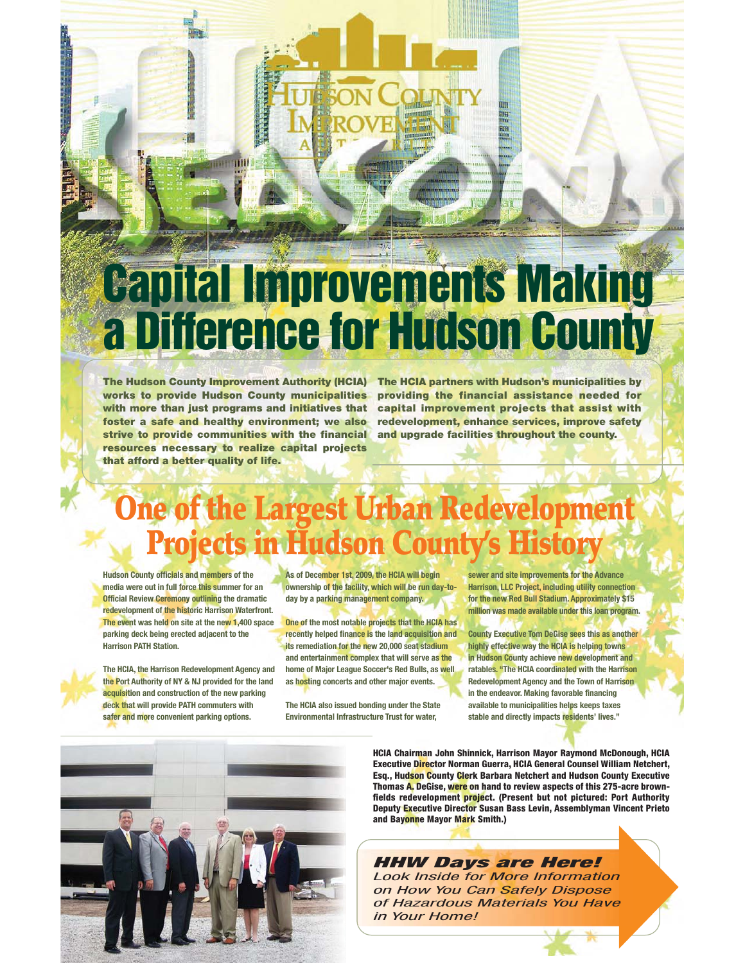# **Capital Improvements Making a Difference for Hudson County**

The Hudson County Improvement Authority (HCIA) The HCIA partners with Hudson's municipalities by **works to provide Hudson County municipalities providing the financial assistance needed for with more than just programs and initiatives that capital improvement projects that assist with foster a safe and healthy environment; we also redevelopment, enhance services, improve safety strive to provide communities with the financial resources necessary to realize capital projects that afford a better quality of life.**

шH

**and upgrade facilities throughout the county.**

# **One of the Largest Urban Redevelopment Projects in Hudson County's H**

**Hudson County officials and members of the media were out in full force this summer for an Official Review Ceremony outlining the dramatic redevelopment of the historic Harrison Waterfront. The event was held on site at the new 1,400 space parking deck being erected adjacent to the Harrison PATH Station.**



**The HCIA, the Harrison Redevelopment Agency and the Port Authority of NY & NJ provided for the land acquisition and construction of the new parking deck that will provide PATH commuters with safer and more convenient parking options.**

**As of December 1st, 2009, the HCIA will begin ownership of the facility, which will be run day-today by a parking management company.**

**One of the most notable projects that the HCIA has recently helped finance is the land acquisition and its remediation for the new 20,000 seat stadium and entertainment complex that will serve as the home of Major League Soccer's Red Bulls, as well as hosting concerts and other major events.**

**The HCIA also issued bonding under the State Environmental Infrastructure Trust for water,**

**sewer and site improvements for the Advance Harrison, LLC Project, including utility connection for the new Red Bull Stadium. Approximately \$15 million was made available under this loan program.**

**County Executive Tom DeGise sees this as another highly effective way the HCIA is helping towns in Hudson County achieve new development and ratables. "The HCIA coordinated with the Harrison Redevelopment Agency and the Town of Harrison in the endeavor. Making favorable financing available to municipalities helps keeps taxes stable and directly impacts residents' lives."**



**HCIA Chairman John Shinnick, Harrison Mayor Raymond McDonough, HCIA Executive Director Norman Guerra, HCIA General Counsel William Netchert, Esq., Hudson County Clerk Barbara Netchert and Hudson County Executive Thomas A. DeGise, were on hand to review aspects of this 275-acre brownfields redevelopment project. (Present but not pictured: Port Authority Deputy Executive Director Susan Bass Levin, Assemblyman Vincent Prieto and Bayonne Mayor Mark Smith.)**

*HHW Days are Here!* Look Inside for More Information on How You Can Safely Dispose of Hazardous Materials You Have in Your Home!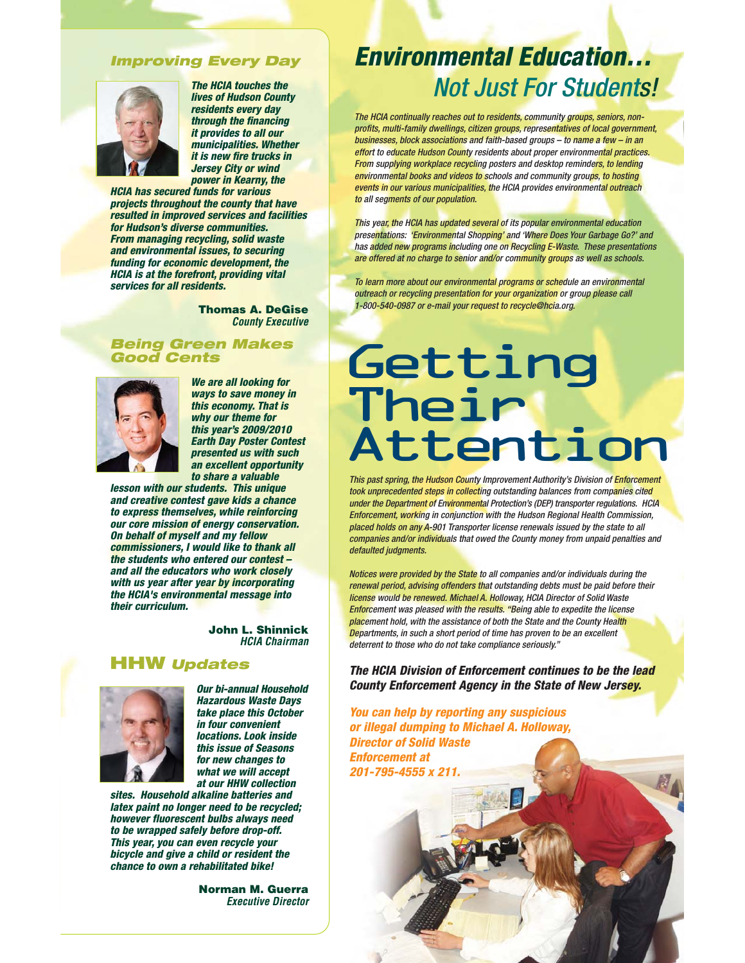## *Improving Every Day*



*The HCIA touches the lives of Hudson County residents every day through the financing it provides to all our municipalities. Whether it is new fire trucks in Jersey City or wind power in Kearny, the*

*HCIA has secured funds for various projects throughout the county that have resulted in improved services and facilities for Hudson's diverse communities. From managing recycling, solid waste and environmental issues, to securing funding for economic development, the HCIA is at the forefront, providing vital services for all residents.*

> **Thomas A. DeGise** *County Executive*

## *Being Green Makes Good Cents*



*We are all looking for ways to save money in this economy. That is why our theme for this year's 2009/2010 Earth Day Poster Contest presented us with such an excellent opportunity to share a valuable*

*lesson with our students. This unique and creative contest gave kids a chance to express themselves, while reinforcing our core mission of energy conservation. On behalf of myself and my fellow commissioners, I would like to thank all the students who entered our contest – and all the educators who work closely with us year after year by incorporating the HCIA's environmental message into their curriculum.*

> **John L. Shinnick** *HCIA Chairman*

# **HHW** *Updates*



*Our bi-annual Household Hazardous Waste Days take place this October in four convenient locations. Look inside this issue of Seasons for new changes to what we will accept at our HHW collection*

*sites. Household alkaline batteries and latex paint no longer need to be recycled; however fluorescent bulbs always need to be wrapped safely before drop-off. This year, you can even recycle your bicycle and give a child or resident the chance to own a rehabilitated bike!*

> **Norman M. Guerra** *Executive Director*

# *Environmental Education…* Not Just For Students!

The HCIA continually reaches out to residents, community groups, seniors, nonprofits, multi-family dwellings, citizen groups, representatives of local government, businesses, block associations and faith-based groups – to name a few – in an effort to educate Hudson County residents about proper environmental practices. From supplying workplace recycling posters and desktop reminders, to lending environmental books and videos to schools and community groups, to hosting events in our various municipalities, the HCIA provides environmental outreach to all segments of our population.

This year, the HCIA has updated several of its popular environmental education presentations: 'Environmental Shopping' and 'Where Does Your Garbage Go?' and has added new programs including one on Recycling E-Waste. These presentations are offered at no charge to senior and/or community groups as well as schools.

To learn more about our environmental programs or schedule an environmental outreach or recycling presentation for your organization or group please call 1-800-540-0987 or e-mail your request to recycle@hcia.org.

# Their<br>Attanti Atten

This past spring, the Hudson County Improvement Authority's Division of **Enforcement**<br>took unprecedented steps in collecting outstanding balances from companies cited<br>under the Department of Environmental Protection's (DEP This past spring, the Hudson County Improvement Authority's Division of Enforcement took unprecedented steps in collecting outstanding balances from companies cited under the Department of Environmental Protection's (DEP) transporter regulations. HCIA Enforcement, working in conjunction with the Hudson Regional Health Commission, placed holds on any A-901 Transporter license renewals issued by the state to all companies and/or individuals that owed the County money from unpaid penalties and defaulted judgments.

Notices were provided by the State to all companies and/or individuals during the renewal period, advising offenders that outstanding debts must be paid before their license would be renewed. Michael A. Holloway, HCIA Director of Solid Waste **Enforcement was pleased with the results. "Being able to expedite the license** placement hold, with the assistance of both the State and the County Health Departments, in such a short period of time has proven to be an excellent deterrent to those who do not take compliance seriously."

*The HCIA Division of Enforcement continues to be the lead County Enforcement Agency in the State of New Jersey.*

*You can help by reporting any suspicious or illegal dumping to Michael A. Holloway, Director of Solid Waste Enforcement at 201-795-4555 x 211.*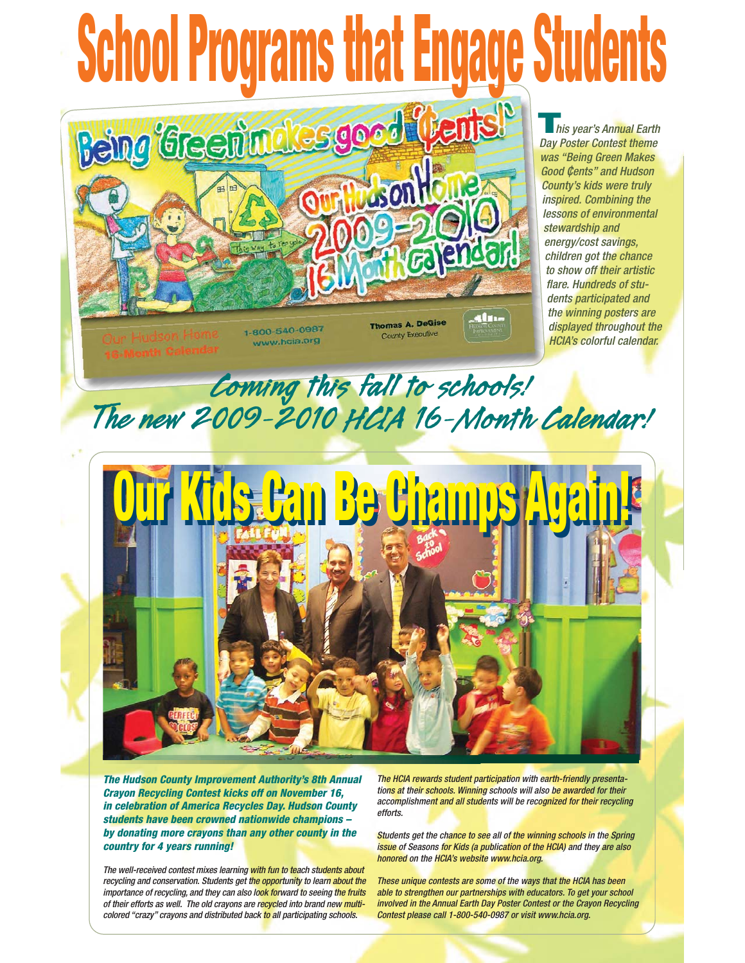# **School Programs that Engage Students Being Green moles good (tents!**

**This year's Annual Earth** Day Poster Contest theme was "Being Green Makes Good Cents" and Hudson County's kids were truly inspired. Combining the lessons of environmental stewardship and energy/cost savings, children got the chance to show off their artistic flare. Hundreds of students participated and the winning posters are displayed throughout the HCIA's colorful calendar.

1-800-540-0987 www.hcia.org

**Thomas A. DeGise County Executive** 

Alu-

**ANGICIA** 

**Coming this fall to schools! The new 2009-2010 HCIA 16-Month Calendar!**



*The Hudson County Improvement Authority's 8th Annual Crayon Recycling Contest kicks off on November 16, in celebration of America Recycles Day. Hudson County students have been crowned nationwide champions – by donating more crayons than any other county in the country for 4 years running!*

The well-received contest mixes learning with fun to teach students about recycling and conservation. Students get the opportunity to learn about the importance of recycling, and they can also look forward to seeing the fruits of their efforts as well. The old crayons are recycled into brand new multicolored "crazy" crayons and distributed back to all participating schools.

The HCIA rewards student participation with earth-friendly presentations at their schools. Winning schools will also be awarded for their accomplishment and all students will be recognized for their recycling efforts.

Students get the chance to see all of the winning schools in the Spring issue of Seasons for Kids (a publication of the HCIA) and they are also honored on the HCIA's website www.hcia.org.

These unique contests are some of the ways that the HCIA has been able to strengthen our partnerships with educators. To get your school involved in the Annual Earth Day Poster Contest or the Crayon Recycling Contest please call 1-800-540-0987 or visit www.hcia.org.